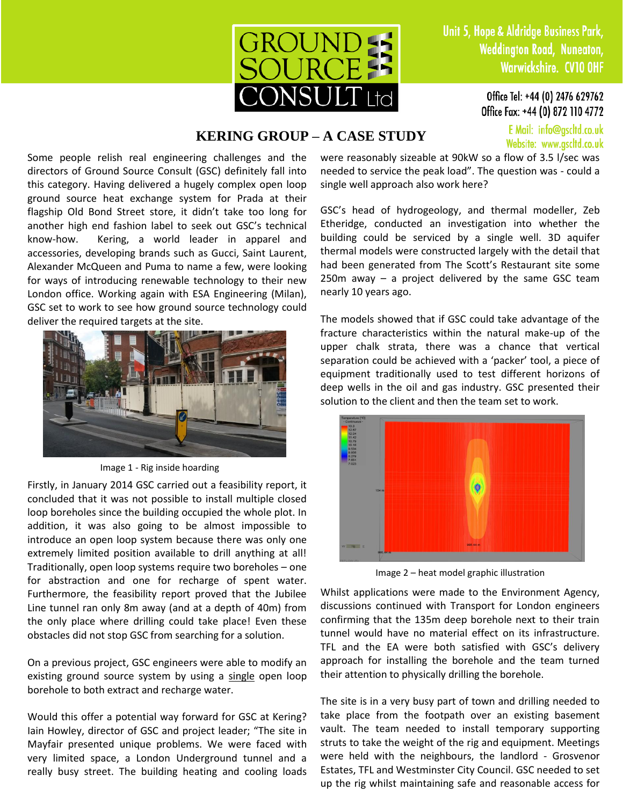

Office Tel: +44 (0) 2476 629762 Office Fax: +44 (0) 872 110 4772

> E Mail: info@gscltd.co.uk Website: www.gscltd.co.uk

## **KERING GROUP – A CASE STUDY**

Some people relish real engineering challenges and the directors of Ground Source Consult (GSC) definitely fall into this category. Having delivered a hugely complex open loop ground source heat exchange system for Prada at their flagship Old Bond Street store, it didn't take too long for another high end fashion label to seek out GSC's technical know-how. Kering, a world leader in apparel and accessories, developing brands such as Gucci, Saint Laurent, Alexander McQueen and Puma to name a few, were looking for ways of introducing renewable technology to their new London office. Working again with ESA Engineering (Milan), GSC set to work to see how ground source technology could deliver the required targets at the site.



Image 1 - Rig inside hoarding

Firstly, in January 2014 GSC carried out a feasibility report, it concluded that it was not possible to install multiple closed loop boreholes since the building occupied the whole plot. In addition, it was also going to be almost impossible to introduce an open loop system because there was only one extremely limited position available to drill anything at all! Traditionally, open loop systems require two boreholes – one for abstraction and one for recharge of spent water. Furthermore, the feasibility report proved that the Jubilee Line tunnel ran only 8m away (and at a depth of 40m) from the only place where drilling could take place! Even these obstacles did not stop GSC from searching for a solution.

On a previous project, GSC engineers were able to modify an existing ground source system by using a single open loop borehole to both extract and recharge water.

Would this offer a potential way forward for GSC at Kering? Iain Howley, director of GSC and project leader; "The site in Mayfair presented unique problems. We were faced with very limited space, a London Underground tunnel and a really busy street. The building heating and cooling loads were reasonably sizeable at 90kW so a flow of 3.5 l/sec was needed to service the peak load". The question was - could a single well approach also work here?

GSC's head of hydrogeology, and thermal modeller, Zeb Etheridge, conducted an investigation into whether the building could be serviced by a single well. 3D aquifer thermal models were constructed largely with the detail that had been generated from The Scott's Restaurant site some  $250m$  away – a project delivered by the same GSC team nearly 10 years ago.

The models showed that if GSC could take advantage of the fracture characteristics within the natural make-up of the upper chalk strata, there was a chance that vertical separation could be achieved with a 'packer' tool, a piece of equipment traditionally used to test different horizons of deep wells in the oil and gas industry. GSC presented their solution to the client and then the team set to work.



Image 2 – heat model graphic illustration

Whilst applications were made to the Environment Agency, discussions continued with Transport for London engineers confirming that the 135m deep borehole next to their train tunnel would have no material effect on its infrastructure. TFL and the EA were both satisfied with GSC's delivery approach for installing the borehole and the team turned their attention to physically drilling the borehole.

The site is in a very busy part of town and drilling needed to take place from the footpath over an existing basement vault. The team needed to install temporary supporting struts to take the weight of the rig and equipment. Meetings were held with the neighbours, the landlord - Grosvenor Estates, TFL and Westminster City Council. GSC needed to set up the rig whilst maintaining safe and reasonable access for